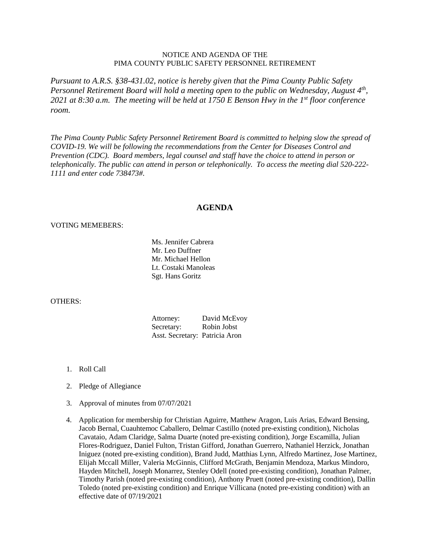## NOTICE AND AGENDA OF THE PIMA COUNTY PUBLIC SAFETY PERSONNEL RETIREMENT

*Pursuant to A.R.S. §38-431.02, notice is hereby given that the Pima County Public Safety Personnel Retirement Board will hold a meeting open to the public on Wednesday, August 4th, 2021 at 8:30 a.m. The meeting will be held at 1750 E Benson Hwy in the 1st floor conference room.*

*The Pima County Public Safety Personnel Retirement Board is committed to helping slow the spread of COVID-19. We will be following the recommendations from the Center for Diseases Control and Prevention (CDC). Board members, legal counsel and staff have the choice to attend in person or telephonically. The public can attend in person or telephonically. To access the meeting dial 520-222- 1111 and enter code 738473#.*

## **AGENDA**

## VOTING MEMEBERS:

Ms. Jennifer Cabrera Mr. Leo Duffner Mr. Michael Hellon Lt. Costaki Manoleas Sgt. Hans Goritz

## OTHERS:

Attorney: David McEvoy Secretary: Robin Jobst Asst. Secretary: Patricia Aron

- 1. Roll Call
- 2. Pledge of Allegiance
- 3. Approval of minutes from 07/07/2021
- 4. Application for membership for Christian Aguirre, Matthew Aragon, Luis Arias, Edward Bensing, Jacob Bernal, Cuauhtemoc Caballero, Delmar Castillo (noted pre-existing condition), Nicholas Cavataio, Adam Claridge, Salma Duarte (noted pre-existing condition), Jorge Escamilla, Julian Flores-Rodriguez, Daniel Fulton, Tristan Gifford, Jonathan Guerrero, Nathaniel Herzick, Jonathan Iniguez (noted pre-existing condition), Brand Judd, Matthias Lynn, Alfredo Martinez, Jose Martinez, Elijah Mccall Miller, Valeria McGinnis, Clifford McGrath, Benjamin Mendoza, Markus Mindoro, Hayden Mitchell, Joseph Monarrez, Stenley Odell (noted pre-existing condition), Jonathan Palmer, Timothy Parish (noted pre-existing condition), Anthony Pruett (noted pre-existing condition), Dallin Toledo (noted pre-existing condition) and Enrique Villicana (noted pre-existing condition) with an effective date of 07/19/2021